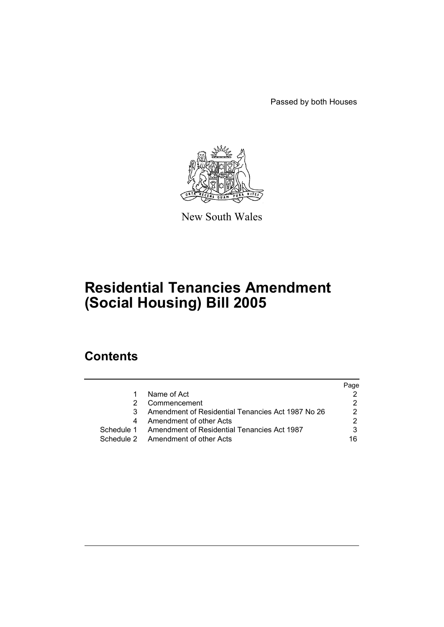Passed by both Houses



New South Wales

# **Residential Tenancies Amendment (Social Housing) Bill 2005**

# **Contents**

|   |                                                        | Page |
|---|--------------------------------------------------------|------|
| 1 | Name of Act                                            |      |
| 2 | Commencement                                           |      |
| 3 | Amendment of Residential Tenancies Act 1987 No 26      |      |
| 4 | Amendment of other Acts                                |      |
|   | Schedule 1 Amendment of Residential Tenancies Act 1987 |      |
|   | Schedule 2 Amendment of other Acts                     | 16   |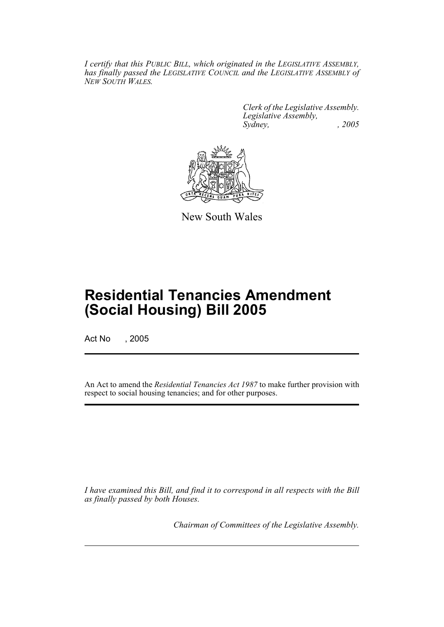*I certify that this PUBLIC BILL, which originated in the LEGISLATIVE ASSEMBLY, has finally passed the LEGISLATIVE COUNCIL and the LEGISLATIVE ASSEMBLY of NEW SOUTH WALES.*

> *Clerk of the Legislative Assembly. Legislative Assembly, Sydney, , 2005*



New South Wales

# **Residential Tenancies Amendment (Social Housing) Bill 2005**

Act No , 2005

An Act to amend the *Residential Tenancies Act 1987* to make further provision with respect to social housing tenancies; and for other purposes.

*I have examined this Bill, and find it to correspond in all respects with the Bill as finally passed by both Houses.*

*Chairman of Committees of the Legislative Assembly.*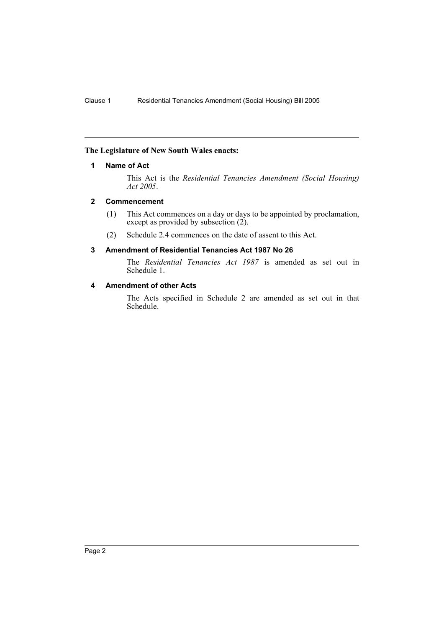## **The Legislature of New South Wales enacts:**

## **1 Name of Act**

This Act is the *Residential Tenancies Amendment (Social Housing) Act 2005*.

## **2 Commencement**

- (1) This Act commences on a day or days to be appointed by proclamation, except as provided by subsection (2).
- (2) Schedule 2.4 commences on the date of assent to this Act.

## **3 Amendment of Residential Tenancies Act 1987 No 26**

The *Residential Tenancies Act 1987* is amended as set out in Schedule 1.

## **4 Amendment of other Acts**

The Acts specified in Schedule 2 are amended as set out in that Schedule.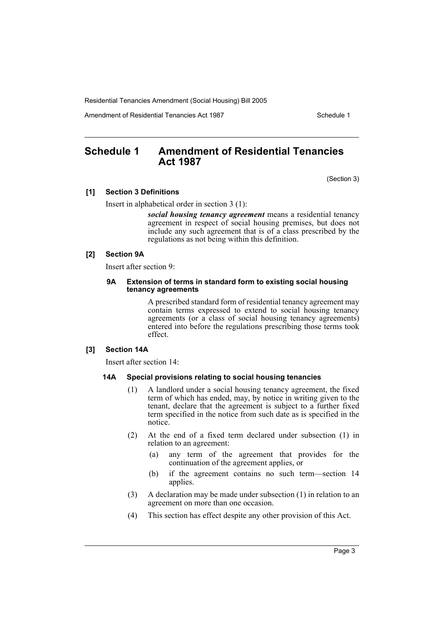Amendment of Residential Tenancies Act 1987 New York Schedule 1

# **Schedule 1 Amendment of Residential Tenancies Act 1987**

(Section 3)

#### **[1] Section 3 Definitions**

Insert in alphabetical order in section 3 (1):

*social housing tenancy agreement* means a residential tenancy agreement in respect of social housing premises, but does not include any such agreement that is of a class prescribed by the regulations as not being within this definition.

#### **[2] Section 9A**

Insert after section 9:

#### **9A Extension of terms in standard form to existing social housing tenancy agreements**

A prescribed standard form of residential tenancy agreement may contain terms expressed to extend to social housing tenancy agreements (or a class of social housing tenancy agreements) entered into before the regulations prescribing those terms took effect.

## **[3] Section 14A**

Insert after section 14:

## **14A Special provisions relating to social housing tenancies**

- (1) A landlord under a social housing tenancy agreement, the fixed term of which has ended, may, by notice in writing given to the tenant, declare that the agreement is subject to a further fixed term specified in the notice from such date as is specified in the notice.
- (2) At the end of a fixed term declared under subsection (1) in relation to an agreement:
	- (a) any term of the agreement that provides for the continuation of the agreement applies, or
	- (b) if the agreement contains no such term—section 14 applies.
- (3) A declaration may be made under subsection (1) in relation to an agreement on more than one occasion.
- (4) This section has effect despite any other provision of this Act.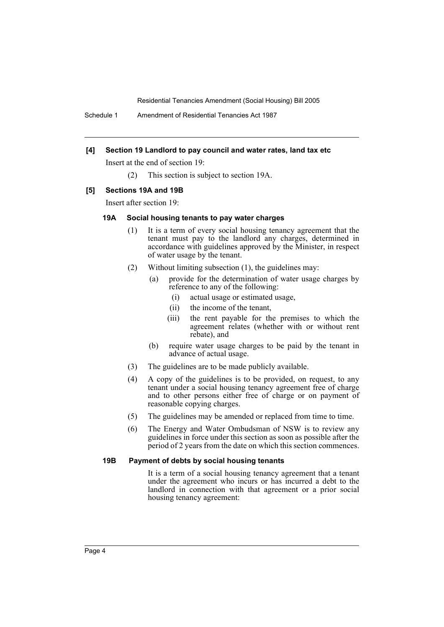Schedule 1 Amendment of Residential Tenancies Act 1987

#### **[4] Section 19 Landlord to pay council and water rates, land tax etc**

Insert at the end of section 19:

(2) This section is subject to section 19A.

## **[5] Sections 19A and 19B**

Insert after section 19:

## **19A Social housing tenants to pay water charges**

- (1) It is a term of every social housing tenancy agreement that the tenant must pay to the landlord any charges, determined in accordance with guidelines approved by the Minister, in respect of water usage by the tenant.
- (2) Without limiting subsection (1), the guidelines may:
	- (a) provide for the determination of water usage charges by reference to any of the following:
		- (i) actual usage or estimated usage,
		- (ii) the income of the tenant,
		- (iii) the rent payable for the premises to which the agreement relates (whether with or without rent rebate), and
	- (b) require water usage charges to be paid by the tenant in advance of actual usage.
- (3) The guidelines are to be made publicly available.
- (4) A copy of the guidelines is to be provided, on request, to any tenant under a social housing tenancy agreement free of charge and to other persons either free of charge or on payment of reasonable copying charges.
- (5) The guidelines may be amended or replaced from time to time.
- (6) The Energy and Water Ombudsman of NSW is to review any guidelines in force under this section as soon as possible after the period of 2 years from the date on which this section commences.

## **19B Payment of debts by social housing tenants**

It is a term of a social housing tenancy agreement that a tenant under the agreement who incurs or has incurred a debt to the landlord in connection with that agreement or a prior social housing tenancy agreement: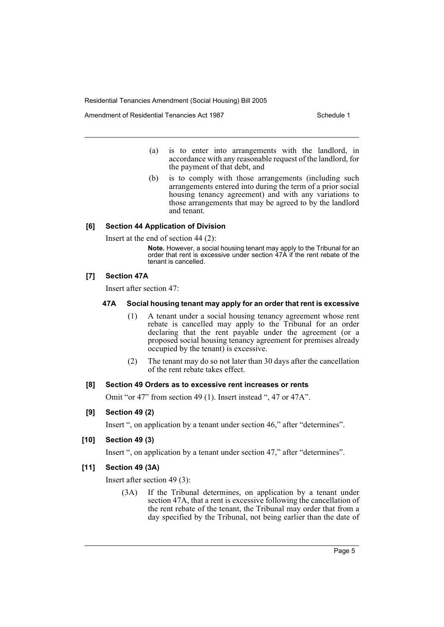Amendment of Residential Tenancies Act 1987 New York Schedule 1

- (a) is to enter into arrangements with the landlord, in accordance with any reasonable request of the landlord, for the payment of that debt, and
- (b) is to comply with those arrangements (including such arrangements entered into during the term of a prior social housing tenancy agreement) and with any variations to those arrangements that may be agreed to by the landlord and tenant.

## **[6] Section 44 Application of Division**

Insert at the end of section 44 (2):

**Note.** However, a social housing tenant may apply to the Tribunal for an order that rent is excessive under section 47A if the rent rebate of the tenant is cancelled.

## **[7] Section 47A**

Insert after section 47:

#### **47A Social housing tenant may apply for an order that rent is excessive**

- (1) A tenant under a social housing tenancy agreement whose rent rebate is cancelled may apply to the Tribunal for an order declaring that the rent payable under the agreement (or a proposed social housing tenancy agreement for premises already occupied by the tenant) is excessive.
- (2) The tenant may do so not later than 30 days after the cancellation of the rent rebate takes effect.

## **[8] Section 49 Orders as to excessive rent increases or rents**

Omit "or 47" from section 49 (1). Insert instead ", 47 or 47A".

## **[9] Section 49 (2)**

Insert ", on application by a tenant under section 46," after "determines".

## **[10] Section 49 (3)**

Insert ", on application by a tenant under section 47," after "determines".

#### **[11] Section 49 (3A)**

Insert after section 49 (3):

(3A) If the Tribunal determines, on application by a tenant under section 47A, that a rent is excessive following the cancellation of the rent rebate of the tenant, the Tribunal may order that from a day specified by the Tribunal, not being earlier than the date of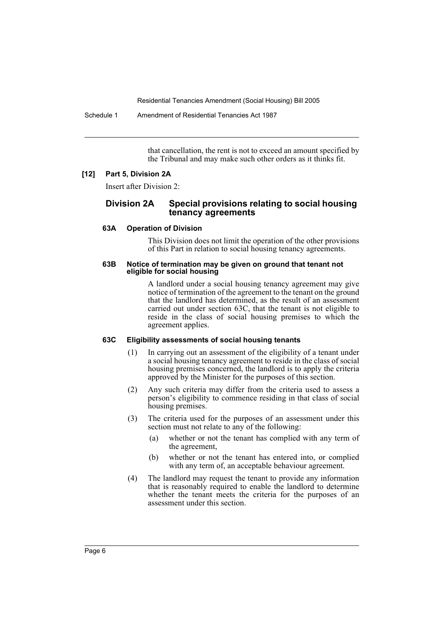Schedule 1 Amendment of Residential Tenancies Act 1987

that cancellation, the rent is not to exceed an amount specified by the Tribunal and may make such other orders as it thinks fit.

#### **[12] Part 5, Division 2A**

Insert after Division 2:

## **Division 2A Special provisions relating to social housing tenancy agreements**

#### **63A Operation of Division**

This Division does not limit the operation of the other provisions of this Part in relation to social housing tenancy agreements.

#### **63B Notice of termination may be given on ground that tenant not eligible for social housing**

A landlord under a social housing tenancy agreement may give notice of termination of the agreement to the tenant on the ground that the landlord has determined, as the result of an assessment carried out under section 63C, that the tenant is not eligible to reside in the class of social housing premises to which the agreement applies.

## **63C Eligibility assessments of social housing tenants**

- (1) In carrying out an assessment of the eligibility of a tenant under a social housing tenancy agreement to reside in the class of social housing premises concerned, the landlord is to apply the criteria approved by the Minister for the purposes of this section.
- (2) Any such criteria may differ from the criteria used to assess a person's eligibility to commence residing in that class of social housing premises.
- (3) The criteria used for the purposes of an assessment under this section must not relate to any of the following:
	- (a) whether or not the tenant has complied with any term of the agreement,
	- (b) whether or not the tenant has entered into, or complied with any term of, an acceptable behaviour agreement.
- (4) The landlord may request the tenant to provide any information that is reasonably required to enable the landlord to determine whether the tenant meets the criteria for the purposes of an assessment under this section.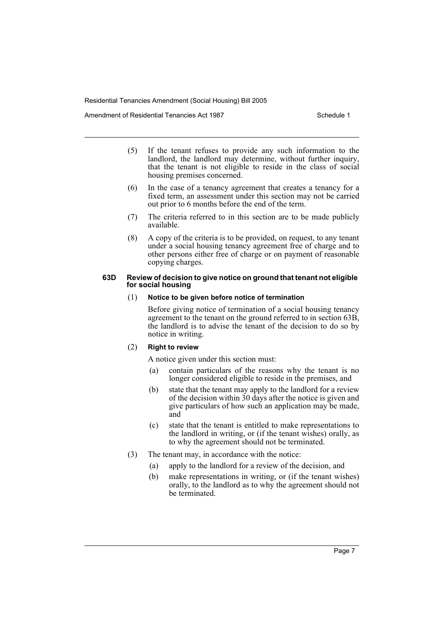Amendment of Residential Tenancies Act 1987 New York Schedule 1

- (5) If the tenant refuses to provide any such information to the landlord, the landlord may determine, without further inquiry, that the tenant is not eligible to reside in the class of social housing premises concerned.
- (6) In the case of a tenancy agreement that creates a tenancy for a fixed term, an assessment under this section may not be carried out prior to 6 months before the end of the term.
- (7) The criteria referred to in this section are to be made publicly available.
- (8) A copy of the criteria is to be provided, on request, to any tenant under a social housing tenancy agreement free of charge and to other persons either free of charge or on payment of reasonable copying charges.

#### **63D Review of decision to give notice on ground that tenant not eligible for social housing**

#### (1) **Notice to be given before notice of termination**

Before giving notice of termination of a social housing tenancy agreement to the tenant on the ground referred to in section 63B, the landlord is to advise the tenant of the decision to do so by notice in writing.

## (2) **Right to review**

A notice given under this section must:

- (a) contain particulars of the reasons why the tenant is no longer considered eligible to reside in the premises, and
- (b) state that the tenant may apply to the landlord for a review of the decision within  $30 \text{ days}$  after the notice is given and give particulars of how such an application may be made, and
- (c) state that the tenant is entitled to make representations to the landlord in writing, or (if the tenant wishes) orally, as to why the agreement should not be terminated.
- (3) The tenant may, in accordance with the notice:
	- (a) apply to the landlord for a review of the decision, and
	- (b) make representations in writing, or (if the tenant wishes) orally, to the landlord as to why the agreement should not be terminated.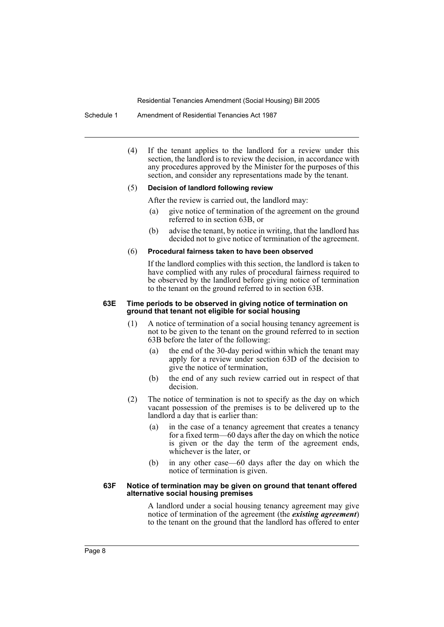#### Schedule 1 Amendment of Residential Tenancies Act 1987

(4) If the tenant applies to the landlord for a review under this section, the landlord is to review the decision, in accordance with any procedures approved by the Minister for the purposes of this section, and consider any representations made by the tenant.

#### (5) **Decision of landlord following review**

After the review is carried out, the landlord may:

- (a) give notice of termination of the agreement on the ground referred to in section 63B, or
- (b) advise the tenant, by notice in writing, that the landlord has decided not to give notice of termination of the agreement.

#### (6) **Procedural fairness taken to have been observed**

If the landlord complies with this section, the landlord is taken to have complied with any rules of procedural fairness required to be observed by the landlord before giving notice of termination to the tenant on the ground referred to in section 63B.

#### **63E Time periods to be observed in giving notice of termination on ground that tenant not eligible for social housing**

- (1) A notice of termination of a social housing tenancy agreement is not to be given to the tenant on the ground referred to in section 63B before the later of the following:
	- (a) the end of the 30-day period within which the tenant may apply for a review under section 63D of the decision to give the notice of termination,
	- (b) the end of any such review carried out in respect of that decision.
- (2) The notice of termination is not to specify as the day on which vacant possession of the premises is to be delivered up to the landlord a day that is earlier than:
	- (a) in the case of a tenancy agreement that creates a tenancy for a fixed term—60 days after the day on which the notice is given or the day the term of the agreement ends, whichever is the later, or
	- (b) in any other case—60 days after the day on which the notice of termination is given.

#### **63F Notice of termination may be given on ground that tenant offered alternative social housing premises**

A landlord under a social housing tenancy agreement may give notice of termination of the agreement (the *existing agreement*) to the tenant on the ground that the landlord has offered to enter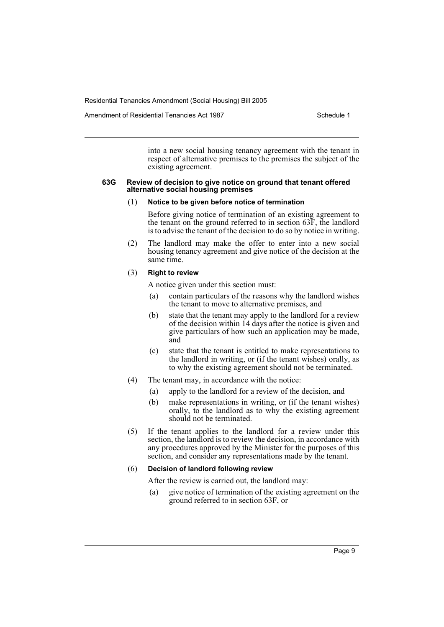into a new social housing tenancy agreement with the tenant in respect of alternative premises to the premises the subject of the existing agreement.

#### **63G Review of decision to give notice on ground that tenant offered alternative social housing premises**

#### (1) **Notice to be given before notice of termination**

Before giving notice of termination of an existing agreement to the tenant on the ground referred to in section 63F, the landlord is to advise the tenant of the decision to do so by notice in writing.

(2) The landlord may make the offer to enter into a new social housing tenancy agreement and give notice of the decision at the same time.

#### (3) **Right to review**

A notice given under this section must:

- (a) contain particulars of the reasons why the landlord wishes the tenant to move to alternative premises, and
- (b) state that the tenant may apply to the landlord for a review of the decision within 14 days after the notice is given and give particulars of how such an application may be made, and
- (c) state that the tenant is entitled to make representations to the landlord in writing, or (if the tenant wishes) orally, as to why the existing agreement should not be terminated.
- (4) The tenant may, in accordance with the notice:
	- (a) apply to the landlord for a review of the decision, and
	- (b) make representations in writing, or (if the tenant wishes) orally, to the landlord as to why the existing agreement should not be terminated.
- (5) If the tenant applies to the landlord for a review under this section, the landlord is to review the decision, in accordance with any procedures approved by the Minister for the purposes of this section, and consider any representations made by the tenant.

#### (6) **Decision of landlord following review**

- After the review is carried out, the landlord may:
- (a) give notice of termination of the existing agreement on the ground referred to in section 63F, or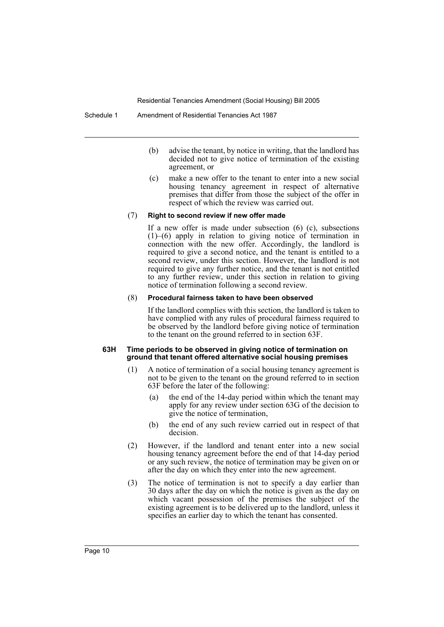- (b) advise the tenant, by notice in writing, that the landlord has decided not to give notice of termination of the existing agreement, or
- (c) make a new offer to the tenant to enter into a new social housing tenancy agreement in respect of alternative premises that differ from those the subject of the offer in respect of which the review was carried out.

#### (7) **Right to second review if new offer made**

If a new offer is made under subsection (6) (c), subsections (1)–(6) apply in relation to giving notice of termination in connection with the new offer. Accordingly, the landlord is required to give a second notice, and the tenant is entitled to a second review, under this section. However, the landlord is not required to give any further notice, and the tenant is not entitled to any further review, under this section in relation to giving notice of termination following a second review.

#### (8) **Procedural fairness taken to have been observed**

If the landlord complies with this section, the landlord is taken to have complied with any rules of procedural fairness required to be observed by the landlord before giving notice of termination to the tenant on the ground referred to in section 63F.

#### **63H Time periods to be observed in giving notice of termination on ground that tenant offered alternative social housing premises**

- (1) A notice of termination of a social housing tenancy agreement is not to be given to the tenant on the ground referred to in section 63F before the later of the following:
	- (a) the end of the 14-day period within which the tenant may apply for any review under section 63G of the decision to give the notice of termination,
	- (b) the end of any such review carried out in respect of that decision.
- (2) However, if the landlord and tenant enter into a new social housing tenancy agreement before the end of that 14-day period or any such review, the notice of termination may be given on or after the day on which they enter into the new agreement.
- (3) The notice of termination is not to specify a day earlier than 30 days after the day on which the notice is given as the day on which vacant possession of the premises the subject of the existing agreement is to be delivered up to the landlord, unless it specifies an earlier day to which the tenant has consented.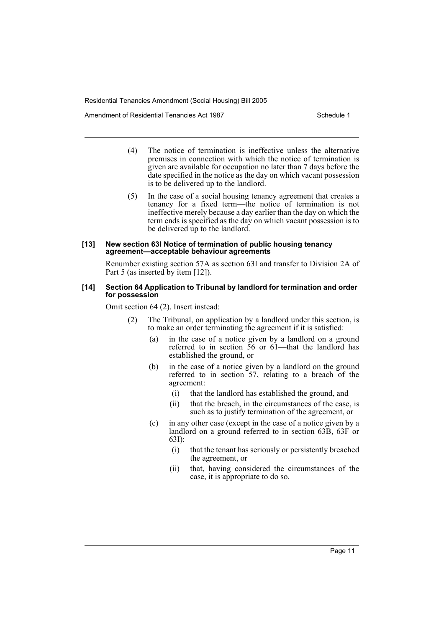Amendment of Residential Tenancies Act 1987 New York Schedule 1

- (4) The notice of termination is ineffective unless the alternative premises in connection with which the notice of termination is given are available for occupation no later than 7 days before the date specified in the notice as the day on which vacant possession is to be delivered up to the landlord.
- (5) In the case of a social housing tenancy agreement that creates a tenancy for a fixed term—the notice of termination is not ineffective merely because a day earlier than the day on which the term ends is specified as the day on which vacant possession is to be delivered up to the landlord.

#### **[13] New section 63I Notice of termination of public housing tenancy agreement—acceptable behaviour agreements**

Renumber existing section 57A as section 63I and transfer to Division 2A of Part 5 (as inserted by item [12]).

#### **[14] Section 64 Application to Tribunal by landlord for termination and order for possession**

Omit section 64 (2). Insert instead:

- (2) The Tribunal, on application by a landlord under this section, is to make an order terminating the agreement if it is satisfied:
	- (a) in the case of a notice given by a landlord on a ground referred to in section 56 or 61—that the landlord has established the ground, or
	- (b) in the case of a notice given by a landlord on the ground referred to in section 57, relating to a breach of the agreement:
		- (i) that the landlord has established the ground, and
		- (ii) that the breach, in the circumstances of the case, is such as to justify termination of the agreement, or
	- (c) in any other case (except in the case of a notice given by a landlord on a ground referred to in section 63B, 63F or 63I):
		- (i) that the tenant has seriously or persistently breached the agreement, or
		- (ii) that, having considered the circumstances of the case, it is appropriate to do so.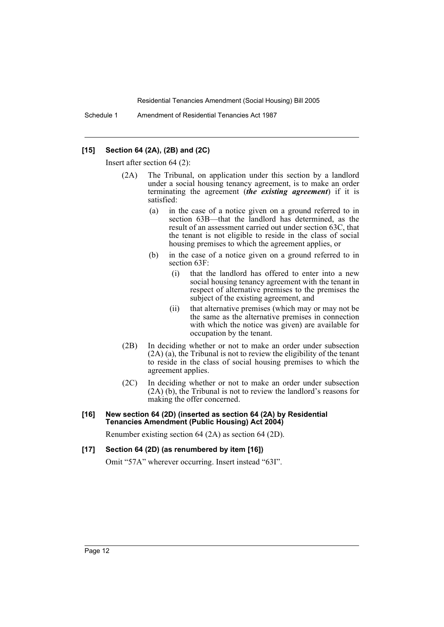Schedule 1 Amendment of Residential Tenancies Act 1987

## **[15] Section 64 (2A), (2B) and (2C)**

Insert after section 64 (2):

- (2A) The Tribunal, on application under this section by a landlord under a social housing tenancy agreement, is to make an order terminating the agreement (*the existing agreement*) if it is satisfied:
	- (a) in the case of a notice given on a ground referred to in section 63B—that the landlord has determined, as the result of an assessment carried out under section 63C, that the tenant is not eligible to reside in the class of social housing premises to which the agreement applies, or
	- (b) in the case of a notice given on a ground referred to in section 63F:
		- (i) that the landlord has offered to enter into a new social housing tenancy agreement with the tenant in respect of alternative premises to the premises the subject of the existing agreement, and
		- (ii) that alternative premises (which may or may not be the same as the alternative premises in connection with which the notice was given) are available for occupation by the tenant.
- (2B) In deciding whether or not to make an order under subsection (2A) (a), the Tribunal is not to review the eligibility of the tenant to reside in the class of social housing premises to which the agreement applies.
- (2C) In deciding whether or not to make an order under subsection (2A) (b), the Tribunal is not to review the landlord's reasons for making the offer concerned.

#### **[16] New section 64 (2D) (inserted as section 64 (2A) by Residential Tenancies Amendment (Public Housing) Act 2004)**

Renumber existing section 64 (2A) as section 64 (2D).

## **[17] Section 64 (2D) (as renumbered by item [16])**

Omit "57A" wherever occurring. Insert instead "63I".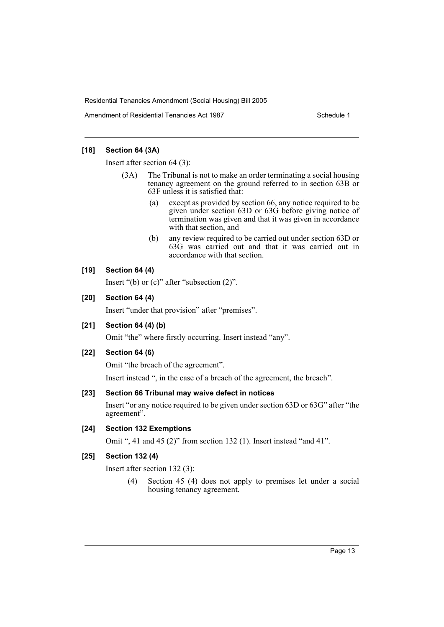Amendment of Residential Tenancies Act 1987

## **[18] Section 64 (3A)**

Insert after section 64 (3):

- (3A) The Tribunal is not to make an order terminating a social housing tenancy agreement on the ground referred to in section 63B or 63F unless it is satisfied that:
	- (a) except as provided by section 66, any notice required to be given under section 63D or 63G before giving notice of termination was given and that it was given in accordance with that section, and
	- (b) any review required to be carried out under section 63D or 63G was carried out and that it was carried out in accordance with that section.

## **[19] Section 64 (4)**

Insert "(b) or  $(c)$ " after "subsection  $(2)$ ".

## **[20] Section 64 (4)**

Insert "under that provision" after "premises".

## **[21] Section 64 (4) (b)**

Omit "the" where firstly occurring. Insert instead "any".

## **[22] Section 64 (6)**

Omit "the breach of the agreement".

Insert instead ", in the case of a breach of the agreement, the breach".

## **[23] Section 66 Tribunal may waive defect in notices**

Insert "or any notice required to be given under section 63D or 63G" after "the agreement".

## **[24] Section 132 Exemptions**

Omit ", 41 and 45 (2)" from section 132 (1). Insert instead "and 41".

## **[25] Section 132 (4)**

Insert after section 132 (3):

(4) Section 45 (4) does not apply to premises let under a social housing tenancy agreement.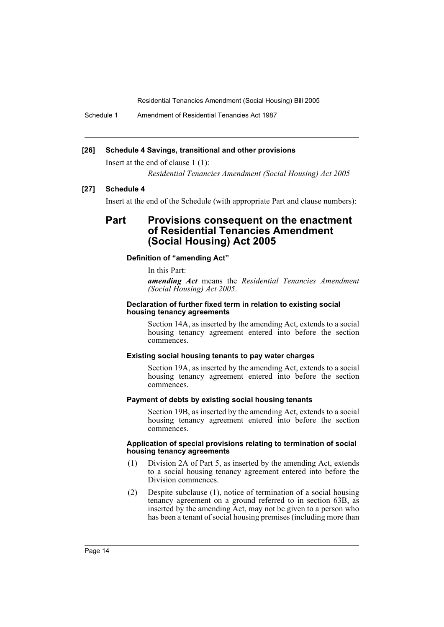Schedule 1 Amendment of Residential Tenancies Act 1987

## **[26] Schedule 4 Savings, transitional and other provisions**

Insert at the end of clause 1 (1):

*Residential Tenancies Amendment (Social Housing) Act 2005*

## **[27] Schedule 4**

Insert at the end of the Schedule (with appropriate Part and clause numbers):

# **Part Provisions consequent on the enactment of Residential Tenancies Amendment (Social Housing) Act 2005**

#### **Definition of "amending Act"**

In this Part:

*amending Act* means the *Residential Tenancies Amendment (Social Housing) Act 2005*.

#### **Declaration of further fixed term in relation to existing social housing tenancy agreements**

Section 14A, as inserted by the amending Act, extends to a social housing tenancy agreement entered into before the section commences.

#### **Existing social housing tenants to pay water charges**

Section 19A, as inserted by the amending Act, extends to a social housing tenancy agreement entered into before the section commences.

#### **Payment of debts by existing social housing tenants**

Section 19B, as inserted by the amending Act, extends to a social housing tenancy agreement entered into before the section commences.

#### **Application of special provisions relating to termination of social housing tenancy agreements**

- (1) Division 2A of Part 5, as inserted by the amending Act, extends to a social housing tenancy agreement entered into before the Division commences.
- (2) Despite subclause (1), notice of termination of a social housing tenancy agreement on a ground referred to in section 63B, as inserted by the amending Act, may not be given to a person who has been a tenant of social housing premises (including more than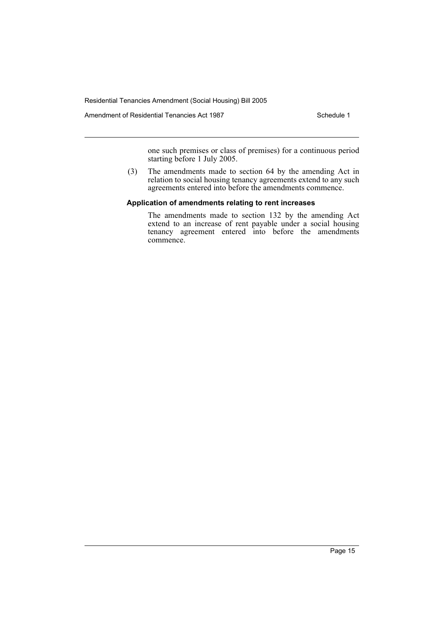Amendment of Residential Tenancies Act 1987 **Schedule 1** Schedule 1

one such premises or class of premises) for a continuous period starting before 1 July 2005.

(3) The amendments made to section 64 by the amending Act in relation to social housing tenancy agreements extend to any such agreements entered into before the amendments commence.

#### **Application of amendments relating to rent increases**

The amendments made to section 132 by the amending Act extend to an increase of rent payable under a social housing tenancy agreement entered into before the amendments commence.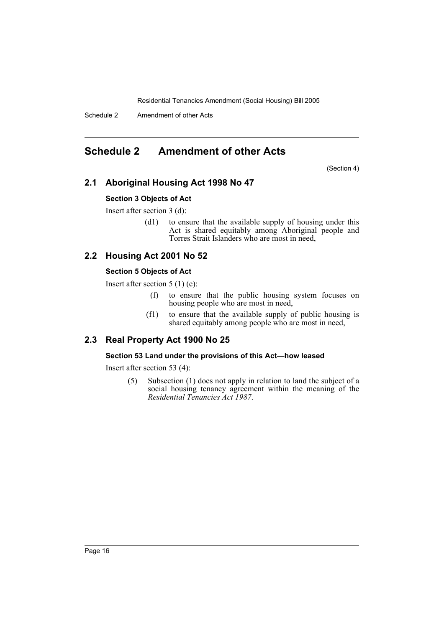Schedule 2 Amendment of other Acts

# **Schedule 2 Amendment of other Acts**

(Section 4)

## **2.1 Aboriginal Housing Act 1998 No 47**

## **Section 3 Objects of Act**

Insert after section 3 (d):

(d1) to ensure that the available supply of housing under this Act is shared equitably among Aboriginal people and Torres Strait Islanders who are most in need,

# **2.2 Housing Act 2001 No 52**

## **Section 5 Objects of Act**

Insert after section 5 (1) (e):

- (f) to ensure that the public housing system focuses on housing people who are most in need,
- (f1) to ensure that the available supply of public housing is shared equitably among people who are most in need,

## **2.3 Real Property Act 1900 No 25**

## **Section 53 Land under the provisions of this Act—how leased**

Insert after section 53 (4):

(5) Subsection (1) does not apply in relation to land the subject of a social housing tenancy agreement within the meaning of the *Residential Tenancies Act 1987*.